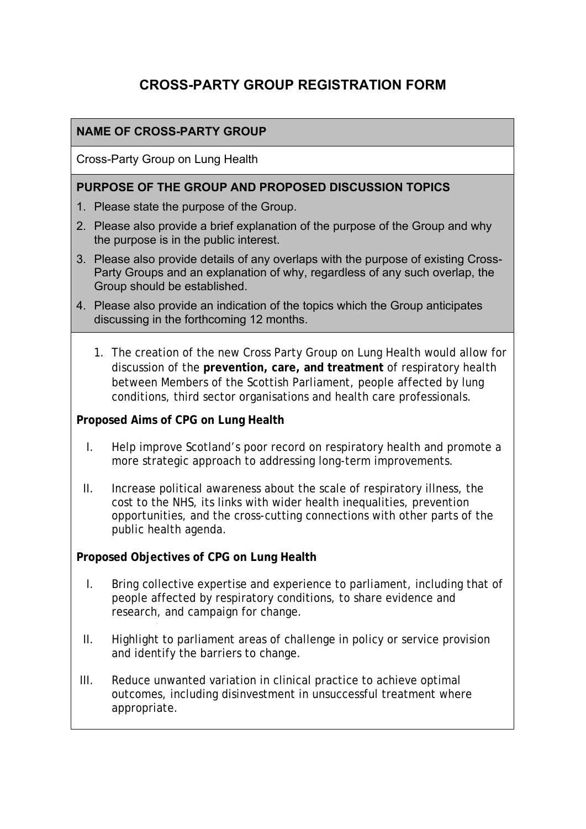# **CROSS-PARTY GROUP REGISTRATION FORM**

## **NAME OF CROSS-PARTY GROUP**

Cross-Party Group on Lung Health

#### **PURPOSE OF THE GROUP AND PROPOSED DISCUSSION TOPICS**

- 1. Please state the purpose of the Group.
- 2. Please also provide a brief explanation of the purpose of the Group and why the purpose is in the public interest.
- 3. Please also provide details of any overlaps with the purpose of existing Cross-Party Groups and an explanation of why, regardless of any such overlap, the Group should be established.
- 4. Please also provide an indication of the topics which the Group anticipates discussing in the forthcoming 12 months.
	- 1. The creation of the new Cross Party Group on Lung Health would allow for discussion of the **prevention, care, and treatment** of respiratory health between Members of the Scottish Parliament, people affected by lung conditions, third sector organisations and health care professionals.

#### **Proposed Aims of CPG on Lung Health**

- I. Help improve Scotland's poor record on respiratory health and promote a more strategic approach to addressing long-term improvements.
- II. Increase political awareness about the scale of respiratory illness, the cost to the NHS, its links with wider health inequalities, prevention opportunities, and the cross-cutting connections with other parts of the public health agenda.

#### **Proposed Objectives of CPG on Lung Health**

- I. Bring collective expertise and experience to parliament, including that of people affected by respiratory conditions, to share evidence and research, and campaign for change.
- II. Highlight to parliament areas of challenge in policy or service provision and identify the barriers to change.
- III. Reduce unwanted variation in clinical practice to achieve optimal outcomes, including disinvestment in unsuccessful treatment where appropriate.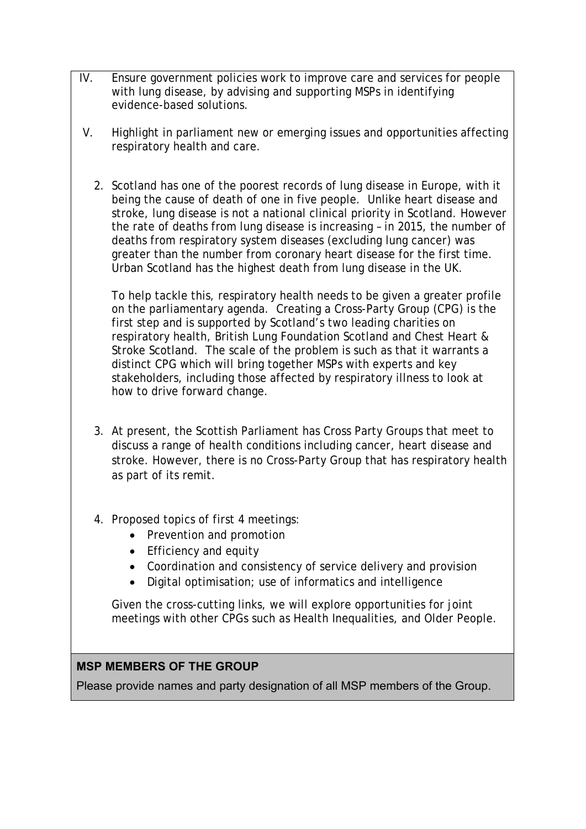- IV. Ensure government policies work to improve care and services for people with lung disease, by advising and supporting MSPs in identifying evidence-based solutions.
- V. Highlight in parliament new or emerging issues and opportunities affecting respiratory health and care.
	- 2. Scotland has one of the poorest records of lung disease in Europe, with it being the cause of death of one in five people. Unlike heart disease and stroke, lung disease is not a national clinical priority in Scotland. However the rate of deaths from lung disease is increasing – in 2015, the number of deaths from respiratory system diseases (excluding lung cancer) was greater than the number from coronary heart disease for the first time. Urban Scotland has the highest death from lung disease in the UK.

To help tackle this, respiratory health needs to be given a greater profile on the parliamentary agenda. Creating a Cross-Party Group (CPG) is the first step and is supported by Scotland's two leading charities on respiratory health, British Lung Foundation Scotland and Chest Heart & Stroke Scotland. The scale of the problem is such as that it warrants a distinct CPG which will bring together MSPs with experts and key stakeholders, including those affected by respiratory illness to look at how to drive forward change.

- 3. At present, the Scottish Parliament has Cross Party Groups that meet to discuss a range of health conditions including cancer, heart disease and stroke. However, there is no Cross-Party Group that has respiratory health as part of its remit.
- 4. Proposed topics of first 4 meetings:
	- Prevention and promotion
	- Efficiency and equity
	- Coordination and consistency of service delivery and provision
	- Digital optimisation; use of informatics and intelligence

Given the cross-cutting links, we will explore opportunities for joint meetings with other CPGs such as Health Inequalities, and Older People.

#### **MSP MEMBERS OF THE GROUP**

Please provide names and party designation of all MSP members of the Group.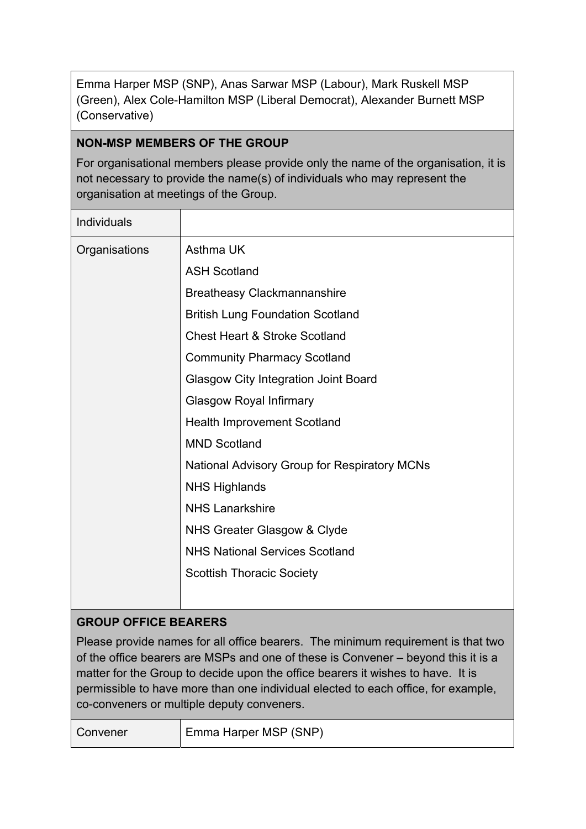Emma Harper MSP (SNP), Anas Sarwar MSP (Labour), Mark Ruskell MSP (Green), Alex Cole-Hamilton MSP (Liberal Democrat), Alexander Burnett MSP (Conservative)

### **NON-MSP MEMBERS OF THE GROUP**

For organisational members please provide only the name of the organisation, it is not necessary to provide the name(s) of individuals who may represent the organisation at meetings of the Group.

| <b>Individuals</b>          |                                                     |
|-----------------------------|-----------------------------------------------------|
| Organisations               | Asthma UK                                           |
|                             | <b>ASH Scotland</b>                                 |
|                             | <b>Breatheasy Clackmannanshire</b>                  |
|                             | <b>British Lung Foundation Scotland</b>             |
|                             | <b>Chest Heart &amp; Stroke Scotland</b>            |
|                             | <b>Community Pharmacy Scotland</b>                  |
|                             | <b>Glasgow City Integration Joint Board</b>         |
|                             | <b>Glasgow Royal Infirmary</b>                      |
|                             | <b>Health Improvement Scotland</b>                  |
|                             | <b>MND Scotland</b>                                 |
|                             | <b>National Advisory Group for Respiratory MCNs</b> |
|                             | <b>NHS Highlands</b>                                |
|                             | <b>NHS Lanarkshire</b>                              |
|                             | NHS Greater Glasgow & Clyde                         |
|                             | <b>NHS National Services Scotland</b>               |
|                             | <b>Scottish Thoracic Society</b>                    |
|                             |                                                     |
| <b>GROUP OFFICE BEARERS</b> |                                                     |

Please provide names for all office bearers. The minimum requirement is that two of the office bearers are MSPs and one of these is Convener – beyond this it is a matter for the Group to decide upon the office bearers it wishes to have. It is permissible to have more than one individual elected to each office, for example, co-conveners or multiple deputy conveners.

| Convener | Emma Harper MSP (SNP) |
|----------|-----------------------|
|          |                       |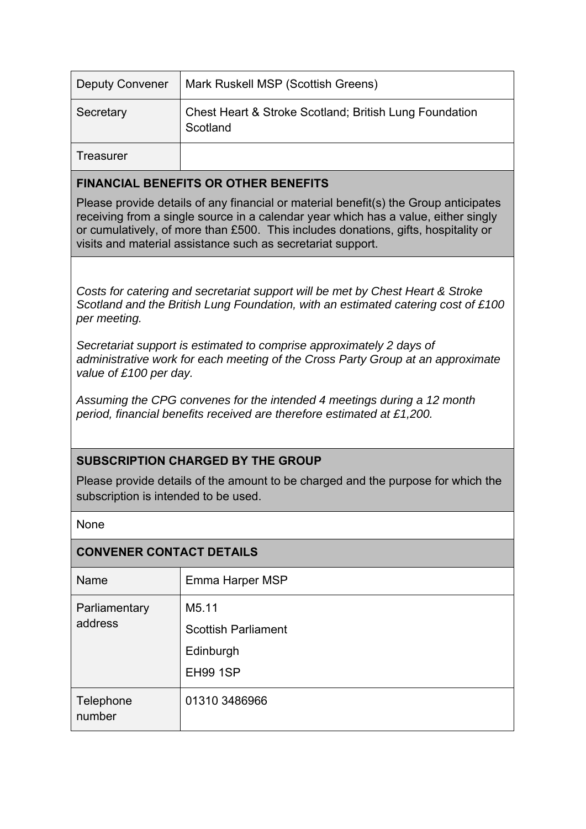| <b>Deputy Convener</b>                      | Mark Ruskell MSP (Scottish Greens)                                 |  |
|---------------------------------------------|--------------------------------------------------------------------|--|
| Secretary                                   | Chest Heart & Stroke Scotland; British Lung Foundation<br>Scotland |  |
| Treasurer                                   |                                                                    |  |
| <b>FINANCIAL BENEFITS OR OTHER BENEFITS</b> |                                                                    |  |

Please provide details of any financial or material benefit(s) the Group anticipates receiving from a single source in a calendar year which has a value, either singly or cumulatively, of more than £500. This includes donations, gifts, hospitality or visits and material assistance such as secretariat support.

*Costs for catering and secretariat support will be met by Chest Heart & Stroke Scotland and the British Lung Foundation, with an estimated catering cost of £100 per meeting.* 

*Secretariat support is estimated to comprise approximately 2 days of administrative work for each meeting of the Cross Party Group at an approximate value of £100 per day.* 

*Assuming the CPG convenes for the intended 4 meetings during a 12 month period, financial benefits received are therefore estimated at £1,200.* 

#### **SUBSCRIPTION CHARGED BY THE GROUP**

Please provide details of the amount to be charged and the purpose for which the subscription is intended to be used.

None

| <b>CONVENER CONTACT DETAILS</b> |                            |  |
|---------------------------------|----------------------------|--|
| <b>Name</b>                     | Emma Harper MSP            |  |
| Parliamentary<br>address        | M5.11                      |  |
|                                 | <b>Scottish Parliament</b> |  |
|                                 | Edinburgh                  |  |
|                                 | <b>EH99 1SP</b>            |  |
| Telephone<br>number             | 01310 3486966              |  |